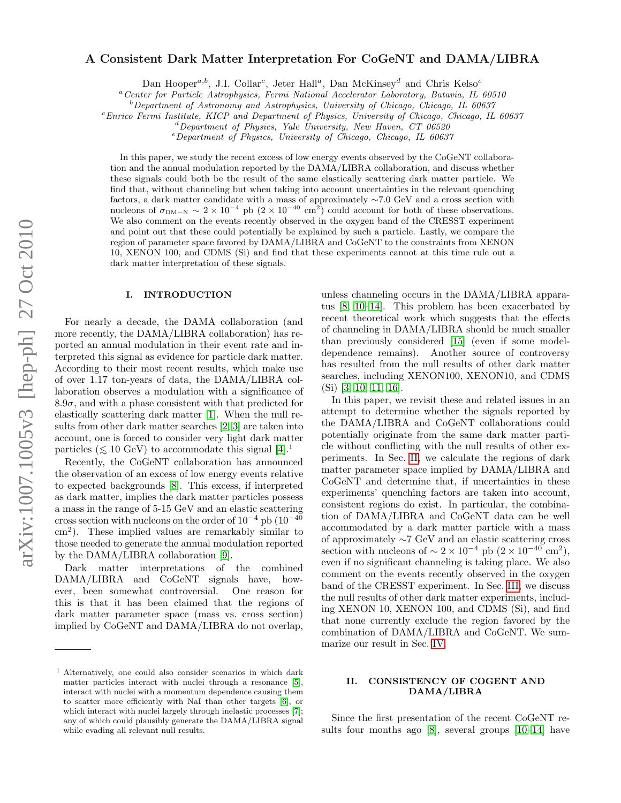# arXiv:1007.1005v3 [hep-ph] 27 Oct 2010 arXiv:1007.1005v3 [hep-ph] 27 Oct 2010

# A Consistent Dark Matter Interpretation For CoGeNT and DAMA/LIBRA

Dan Hooper<sup>a,b</sup>, J.I. Collar<sup>c</sup>, Jeter Hall<sup>a</sup>, Dan McKinsey<sup>d</sup> and Chris Kelso<sup>e</sup>

<sup>a</sup>Center for Particle Astrophysics, Fermi National Accelerator Laboratory, Batavia, IL 60510

 $b^b$ Department of Astronomy and Astrophysics, University of Chicago, Chicago, IL 60637

 $c<sup>c</sup> Enrico Fermi Institute, KICP and Department of Physics, University of Chicago, Chicago, IL 60637$ 

 $d$  Department of Physics, Yale University, New Haven, CT 06520

 $e$ Department of Physics, University of Chicago, Chicago, IL 60637

In this paper, we study the recent excess of low energy events observed by the CoGeNT collaboration and the annual modulation reported by the DAMA/LIBRA collaboration, and discuss whether these signals could both be the result of the same elastically scattering dark matter particle. We find that, without channeling but when taking into account uncertainties in the relevant quenching factors, a dark matter candidate with a mass of approximately ∼7.0 GeV and a cross section with nucleons of  $\sigma_{\text{DM-N}} \sim 2 \times 10^{-4}$  pb  $(2 \times 10^{-40} \text{ cm}^2)$  could account for both of these observations. We also comment on the events recently observed in the oxygen band of the CRESST experiment and point out that these could potentially be explained by such a particle. Lastly, we compare the region of parameter space favored by DAMA/LIBRA and CoGeNT to the constraints from XENON 10, XENON 100, and CDMS (Si) and find that these experiments cannot at this time rule out a dark matter interpretation of these signals.

## I. INTRODUCTION

For nearly a decade, the DAMA collaboration (and more recently, the DAMA/LIBRA collaboration) has reported an annual modulation in their event rate and interpreted this signal as evidence for particle dark matter. According to their most recent results, which make use of over 1.17 ton-years of data, the DAMA/LIBRA collaboration observes a modulation with a significance of  $8.9\sigma$ , and with a phase consistent with that predicted for elastically scattering dark matter [\[1\]](#page-6-0). When the null results from other dark matter searches [\[2,](#page-6-1) [3\]](#page-6-2) are taken into account, one is forced to consider very light dark matter particles ( $\leq 10$  GeV) to accommodate this signal [\[4\]](#page-6-3).<sup>1</sup>

Recently, the CoGeNT collaboration has announced the observation of an excess of low energy events relative to expected backgrounds [\[8\]](#page-6-4). This excess, if interpreted as dark matter, implies the dark matter particles possess a mass in the range of 5-15 GeV and an elastic scattering cross section with nucleons on the order of  $10^{-4}$  pb  $(10^{-40}$ cm<sup>2</sup> ). These implied values are remarkably similar to those needed to generate the annual modulation reported by the DAMA/LIBRA collaboration [\[9\]](#page-6-5).

Dark matter interpretations of the combined DAMA/LIBRA and CoGeNT signals have, however, been somewhat controversial. One reason for this is that it has been claimed that the regions of dark matter parameter space (mass vs. cross section) implied by CoGeNT and DAMA/LIBRA do not overlap,

unless channeling occurs in the DAMA/LIBRA apparatus [\[8,](#page-6-4) [10–](#page-6-9)[14\]](#page-6-10). This problem has been exacerbated by recent theoretical work which suggests that the effects of channeling in DAMA/LIBRA should be much smaller than previously considered [\[15\]](#page-6-11) (even if some modeldependence remains). Another source of controversy has resulted from the null results of other dark matter searches, including XENON100, XENON10, and CDMS (Si) [\[3,](#page-6-2) [10,](#page-6-9) [11,](#page-6-12) [16\]](#page-6-13).

In this paper, we revisit these and related issues in an attempt to determine whether the signals reported by the DAMA/LIBRA and CoGeNT collaborations could potentially originate from the same dark matter particle without conflicting with the null results of other experiments. In Sec. [II,](#page-0-0) we calculate the regions of dark matter parameter space implied by DAMA/LIBRA and CoGeNT and determine that, if uncertainties in these experiments' quenching factors are taken into account, consistent regions do exist. In particular, the combination of DAMA/LIBRA and CoGeNT data can be well accommodated by a dark matter particle with a mass of approximately ∼7 GeV and an elastic scattering cross section with nucleons of  $\sim 2 \times 10^{-4}$  pb  $(2 \times 10^{-40} \text{ cm}^2)$ , even if no significant channeling is taking place. We also comment on the events recently observed in the oxygen band of the CRESST experiment. In Sec. [III,](#page-4-0) we discuss the null results of other dark matter experiments, including XENON 10, XENON 100, and CDMS (Si), and find that none currently exclude the region favored by the combination of DAMA/LIBRA and CoGeNT. We summarize our result in Sec. [IV.](#page-5-0)

# <span id="page-0-0"></span>II. CONSISTENCY OF COGENT AND DAMA/LIBRA

Since the first presentation of the recent CoGeNT results four months ago [\[8\]](#page-6-4), several groups [\[10–](#page-6-9)[14\]](#page-6-10) have

 $<sup>1</sup>$  Alternatively, one could also consider scenarios in which dark</sup> matter particles interact with nuclei through a resonance [\[5\]](#page-6-6), interact with nuclei with a momentum dependence causing them to scatter more efficiently with NaI than other targets [\[6\]](#page-6-7), or which interact with nuclei largely through inelastic processes [\[7\]](#page-6-8); any of which could plausibly generate the DAMA/LIBRA signal while evading all relevant null results.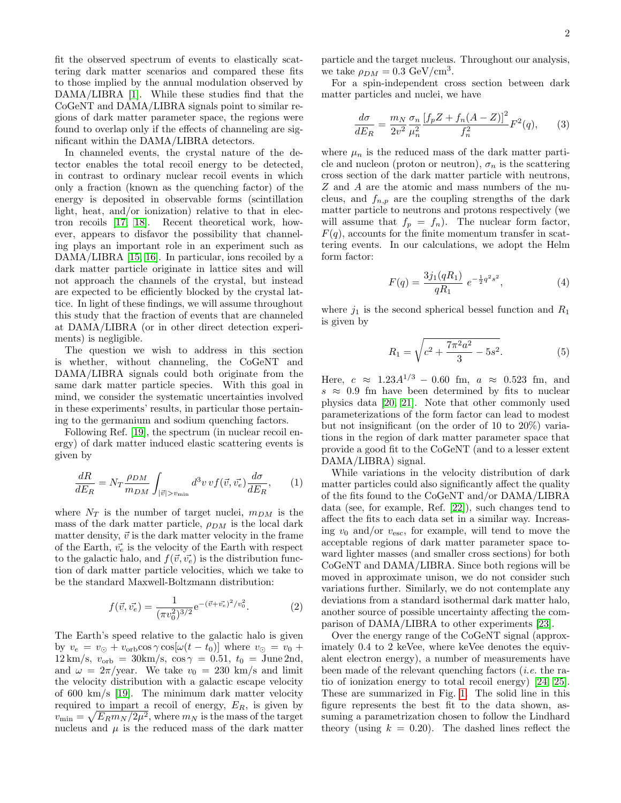fit the observed spectrum of events to elastically scattering dark matter scenarios and compared these fits to those implied by the annual modulation observed by DAMA/LIBRA [\[1\]](#page-6-0). While these studies find that the CoGeNT and DAMA/LIBRA signals point to similar regions of dark matter parameter space, the regions were found to overlap only if the effects of channeling are significant within the DAMA/LIBRA detectors.

In channeled events, the crystal nature of the detector enables the total recoil energy to be detected, in contrast to ordinary nuclear recoil events in which only a fraction (known as the quenching factor) of the energy is deposited in observable forms (scintillation light, heat, and/or ionization) relative to that in electron recoils [\[17,](#page-6-14) [18\]](#page-6-15). Recent theoretical work, however, appears to disfavor the possibility that channeling plays an important role in an experiment such as DAMA/LIBRA [\[15,](#page-6-11) [16\]](#page-6-13). In particular, ions recoiled by a dark matter particle originate in lattice sites and will not approach the channels of the crystal, but instead are expected to be efficiently blocked by the crystal lattice. In light of these findings, we will assume throughout this study that the fraction of events that are channeled at DAMA/LIBRA (or in other direct detection experiments) is negligible.

The question we wish to address in this section is whether, without channeling, the CoGeNT and DAMA/LIBRA signals could both originate from the same dark matter particle species. With this goal in mind, we consider the systematic uncertainties involved in these experiments' results, in particular those pertaining to the germanium and sodium quenching factors.

Following Ref. [\[19\]](#page-6-16), the spectrum (in nuclear recoil energy) of dark matter induced elastic scattering events is given by

$$
\frac{dR}{dE_R} = N_T \frac{\rho_{DM}}{m_{DM}} \int_{|\vec{v}| > v_{\text{min}}} d^3 v \, v f(\vec{v}, \vec{v_e}) \frac{d\sigma}{dE_R},\qquad(1)
$$

where  $N_T$  is the number of target nuclei,  $m_{DM}$  is the mass of the dark matter particle,  $\rho_{DM}$  is the local dark matter density,  $\vec{v}$  is the dark matter velocity in the frame of the Earth,  $\vec{v_e}$  is the velocity of the Earth with respect to the galactic halo, and  $f(\vec{v}, \vec{v_c})$  is the distribution function of dark matter particle velocities, which we take to be the standard Maxwell-Boltzmann distribution:

$$
f(\vec{v}, \vec{v_e}) = \frac{1}{(\pi v_0^2)^{3/2}} e^{-(\vec{v} + \vec{v_e})^2/v_0^2}.
$$
 (2)

The Earth's speed relative to the galactic halo is given by  $v_e = v_\odot + v_{\rm orb} \cos \gamma \cos[\omega(t - t_0)]$  where  $v_\odot = v_0 + v_\circ$  $12 \text{ km/s}, v_{\text{orb}} = 30 \text{ km/s}, \cos \gamma = 0.51, t_0 = \text{June} 2 \text{nd},$ and  $\omega = 2\pi/\text{year}$ . We take  $v_0 = 230 \text{ km/s}$  and limit the velocity distribution with a galactic escape velocity of 600 km/s [\[19\]](#page-6-16). The minimum dark matter velocity required to impart a recoil of energy,  $E_R$ , is given by  $v_{\min} = \sqrt{E_R m_N / 2\mu^2}$ , where  $m_N$  is the mass of the target nucleus and  $\mu$  is the reduced mass of the dark matter particle and the target nucleus. Throughout our analysis, we take  $\rho_{DM} = 0.3 \text{ GeV}/\text{cm}^3$ .

For a spin-independent cross section between dark matter particles and nuclei, we have

$$
\frac{d\sigma}{dE_R} = \frac{m_N}{2v^2} \frac{\sigma_n}{\mu_n^2} \frac{\left[f_p Z + f_n (A - Z)\right]^2}{f_n^2} F^2(q),\tag{3}
$$

where  $\mu_n$  is the reduced mass of the dark matter particle and nucleon (proton or neutron),  $\sigma_n$  is the scattering cross section of the dark matter particle with neutrons, Z and A are the atomic and mass numbers of the nucleus, and  $f_{n,p}$  are the coupling strengths of the dark matter particle to neutrons and protons respectively (we will assume that  $f_p = f_n$ . The nuclear form factor,  $F(q)$ , accounts for the finite momentum transfer in scattering events. In our calculations, we adopt the Helm form factor:

$$
F(q) = \frac{3j_1(qR_1)}{qR_1} e^{-\frac{1}{2}q^2 s^2},
$$
\n(4)

where  $j_1$  is the second spherical bessel function and  $R_1$ is given by

$$
R_1 = \sqrt{c^2 + \frac{7\pi^2 a^2}{3} - 5s^2}.
$$
 (5)

Here,  $c \approx 1.23A^{1/3} - 0.60$  fm,  $a \approx 0.523$  fm, and  $s \approx 0.9$  fm have been determined by fits to nuclear physics data [\[20,](#page-6-17) [21\]](#page-6-18). Note that other commonly used parameterizations of the form factor can lead to modest but not insignificant (on the order of 10 to 20%) variations in the region of dark matter parameter space that provide a good fit to the CoGeNT (and to a lesser extent DAMA/LIBRA) signal.

While variations in the velocity distribution of dark matter particles could also significantly affect the quality of the fits found to the CoGeNT and/or DAMA/LIBRA data (see, for example, Ref. [\[22\]](#page-6-19)), such changes tend to affect the fits to each data set in a similar way. Increasing  $v_0$  and/or  $v_{\text{esc}}$ , for example, will tend to move the acceptable regions of dark matter parameter space toward lighter masses (and smaller cross sections) for both CoGeNT and DAMA/LIBRA. Since both regions will be moved in approximate unison, we do not consider such variations further. Similarly, we do not contemplate any deviations from a standard isothermal dark matter halo, another source of possible uncertainty affecting the comparison of DAMA/LIBRA to other experiments [\[23\]](#page-6-20).

Over the energy range of the CoGeNT signal (approximately 0.4 to 2 keVee, where keVee denotes the equivalent electron energy), a number of measurements have been made of the relevant quenching factors (*i.e.* the ratio of ionization energy to total recoil energy) [\[24,](#page-6-21) [25\]](#page-6-22). These are summarized in Fig. [1.](#page-2-0) The solid line in this figure represents the best fit to the data shown, assuming a parametrization chosen to follow the Lindhard theory (using  $k = 0.20$ ). The dashed lines reflect the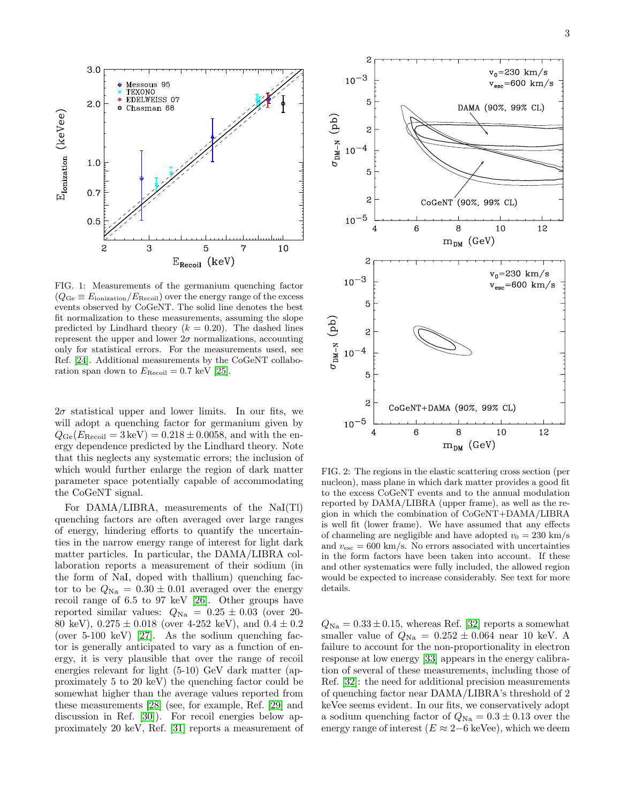

<span id="page-2-0"></span>FIG. 1: Measurements of the germanium quenching factor  $(Q_{\text{Ge}} \equiv E_{\text{ionization}}/E_{\text{Recoil}})$  over the energy range of the excess events observed by CoGeNT. The solid line denotes the best fit normalization to these measurements, assuming the slope predicted by Lindhard theory  $(k = 0.20)$ . The dashed lines represent the upper and lower  $2\sigma$  normalizations, accounting only for statistical errors. For the measurements used, see Ref. [\[24\]](#page-6-21). Additional measurements by the CoGeNT collaboration span down to  $E_{\text{Recoil}} = 0.7 \text{ keV}$  [\[25\]](#page-6-22).

 $2\sigma$  statistical upper and lower limits. In our fits, we will adopt a quenching factor for germanium given by  $Q_{\text{Ge}}(E_{\text{Recoil}} = 3 \,\text{keV}) = 0.218 \pm 0.0058$ , and with the energy dependence predicted by the Lindhard theory. Note that this neglects any systematic errors; the inclusion of which would further enlarge the region of dark matter parameter space potentially capable of accommodating the CoGeNT signal.

For DAMA/LIBRA, measurements of the NaI(Tl) quenching factors are often averaged over large ranges of energy, hindering efforts to quantify the uncertainties in the narrow energy range of interest for light dark matter particles. In particular, the DAMA/LIBRA collaboration reports a measurement of their sodium (in the form of NaI, doped with thallium) quenching factor to be  $Q_{\text{Na}} = 0.30 \pm 0.01$  averaged over the energy recoil range of 6.5 to 97 keV [\[26\]](#page-6-23). Other groups have reported similar values:  $Q_{\text{Na}} = 0.25 \pm 0.03$  (over 20-80 keV),  $0.275 \pm 0.018$  (over 4-252 keV), and  $0.4 \pm 0.2$ (over 5-100 keV) [\[27\]](#page-6-24). As the sodium quenching factor is generally anticipated to vary as a function of energy, it is very plausible that over the range of recoil energies relevant for light (5-10) GeV dark matter (approximately 5 to 20 keV) the quenching factor could be somewhat higher than the average values reported from these measurements [\[28\]](#page-6-25) (see, for example, Ref. [\[29\]](#page-6-26) and discussion in Ref. [\[30\]](#page-6-27)). For recoil energies below approximately 20 keV, Ref. [\[31\]](#page-6-28) reports a measurement of



<span id="page-2-1"></span>FIG. 2: The regions in the elastic scattering cross section (per nucleon), mass plane in which dark matter provides a good fit to the excess CoGeNT events and to the annual modulation reported by DAMA/LIBRA (upper frame), as well as the region in which the combination of CoGeNT+DAMA/LIBRA is well fit (lower frame). We have assumed that any effects of channeling are negligible and have adopted  $v_0 = 230$  km/s and  $v_{\rm esc} = 600 \text{ km/s}$ . No errors associated with uncertainties in the form factors have been taken into account. If these and other systematics were fully included, the allowed region would be expected to increase considerably. See text for more details.

 $Q_{\text{Na}} = 0.33 \pm 0.15$ , whereas Ref. [\[32\]](#page-6-29) reports a somewhat smaller value of  $Q_{\text{Na}} = 0.252 \pm 0.064$  near 10 keV. A failure to account for the non-proportionality in electron response at low energy [\[33\]](#page-6-30) appears in the energy calibration of several of these measurements, including those of Ref. [\[32\]](#page-6-29): the need for additional precision measurements of quenching factor near DAMA/LIBRA's threshold of 2 keVee seems evident. In our fits, we conservatively adopt a sodium quenching factor of  $Q_{\text{Na}} = 0.3 \pm 0.13$  over the energy range of interest ( $E \approx 2-6$  keVee), which we deem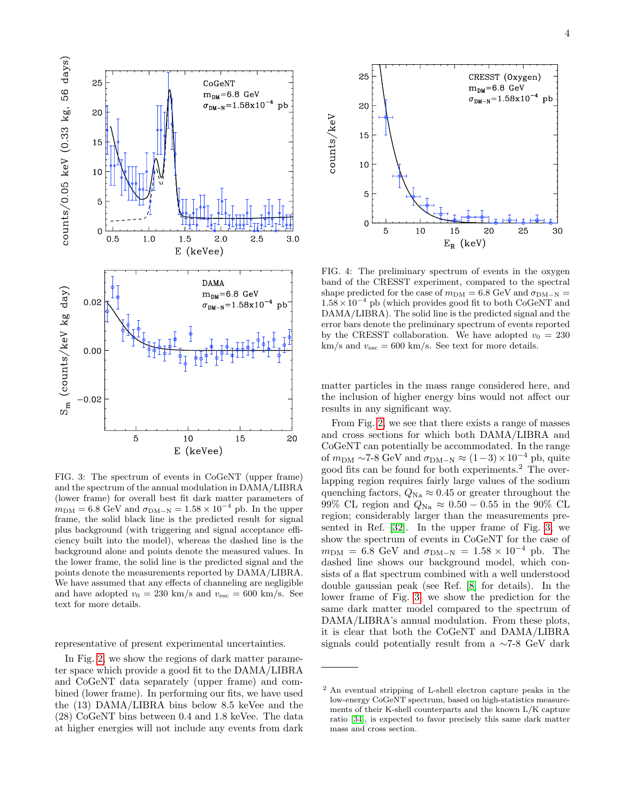

<span id="page-3-0"></span>FIG. 3: The spectrum of events in CoGeNT (upper frame) and the spectrum of the annual modulation in DAMA/LIBRA (lower frame) for overall best fit dark matter parameters of  $m_{\text{DM}} = 6.8 \text{ GeV}$  and  $\sigma_{\text{DM-N}} = 1.58 \times 10^{-4} \text{ pb}$ . In the upper frame, the solid black line is the predicted result for signal plus background (with triggering and signal acceptance efficiency built into the model), whereas the dashed line is the background alone and points denote the measured values. In the lower frame, the solid line is the predicted signal and the points denote the measurements reported by DAMA/LIBRA. We have assumed that any effects of channeling are negligible and have adopted  $v_0 = 230$  km/s and  $v_{\text{esc}} = 600$  km/s. See text for more details.

representative of present experimental uncertainties.

In Fig. [2,](#page-2-1) we show the regions of dark matter parameter space which provide a good fit to the DAMA/LIBRA and CoGeNT data separately (upper frame) and combined (lower frame). In performing our fits, we have used the (13) DAMA/LIBRA bins below 8.5 keVee and the (28) CoGeNT bins between 0.4 and 1.8 keVee. The data at higher energies will not include any events from dark



<span id="page-3-1"></span>FIG. 4: The preliminary spectrum of events in the oxygen band of the CRESST experiment, compared to the spectral shape predicted for the case of  $m_{DM} = 6.8$  GeV and  $\sigma_{DM-N} =$  $1.58 \times 10^{-4}$  pb (which provides good fit to both CoGeNT and DAMA/LIBRA). The solid line is the predicted signal and the error bars denote the preliminary spectrum of events reported by the CRESST collaboration. We have adopted  $v_0 = 230$  $km/s$  and  $v_{esc} = 600$  km/s. See text for more details.

matter particles in the mass range considered here, and the inclusion of higher energy bins would not affect our results in any significant way.

From Fig. [2,](#page-2-1) we see that there exists a range of masses and cross sections for which both DAMA/LIBRA and CoGeNT can potentially be accommodated. In the range of  $m_{\text{DM}} \sim 7-8$  GeV and  $\sigma_{\text{DM-N}} \approx (1-3) \times 10^{-4}$  pb, quite good fits can be found for both experiments.<sup>2</sup> The overlapping region requires fairly large values of the sodium quenching factors,  $Q_{\text{Na}} \approx 0.45$  or greater throughout the 99% CL region and  $Q_{\text{Na}} \approx 0.50 - 0.55$  in the 90% CL region; considerably larger than the measurements presented in Ref. [\[32\]](#page-6-29). In the upper frame of Fig. [3,](#page-3-0) we show the spectrum of events in CoGeNT for the case of  $m_{\text{DM}} = 6.8 \text{ GeV}$  and  $\sigma_{\text{DM-N}} = 1.58 \times 10^{-4} \text{ pb}$ . The dashed line shows our background model, which consists of a flat spectrum combined with a well understood double gaussian peak (see Ref. [\[8\]](#page-6-4) for details). In the lower frame of Fig. [3,](#page-3-0) we show the prediction for the same dark matter model compared to the spectrum of DAMA/LIBRA's annual modulation. From these plots, it is clear that both the CoGeNT and DAMA/LIBRA signals could potentially result from a ∼7-8 GeV dark

<sup>2</sup> An eventual stripping of L-shell electron capture peaks in the low-energy CoGeNT spectrum, based on high-statistics measurements of their K-shell counterparts and the known L/K capture ratio [\[34\]](#page-7-0), is expected to favor precisely this same dark matter mass and cross section.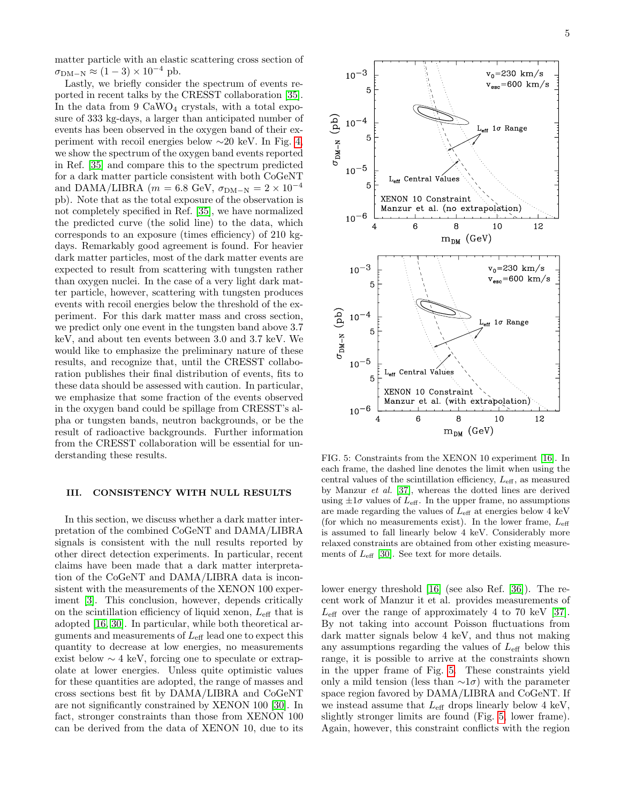matter particle with an elastic scattering cross section of  $\sigma_{\text{DM-N}} \approx (1-3) \times 10^{-4}$  pb.

Lastly, we briefly consider the spectrum of events reported in recent talks by the CRESST collaboration [\[35\]](#page-7-1). In the data from  $9 \text{ CaWO}_4$  crystals, with a total exposure of 333 kg-days, a larger than anticipated number of events has been observed in the oxygen band of their experiment with recoil energies below ∼20 keV. In Fig. [4,](#page-3-1) we show the spectrum of the oxygen band events reported in Ref. [\[35\]](#page-7-1) and compare this to the spectrum predicted for a dark matter particle consistent with both CoGeNT and DAMA/LIBRA ( $m = 6.8$  GeV,  $\sigma_{DM-N} = 2 \times 10^{-4}$ pb). Note that as the total exposure of the observation is not completely specified in Ref. [\[35\]](#page-7-1), we have normalized the predicted curve (the solid line) to the data, which corresponds to an exposure (times efficiency) of 210 kgdays. Remarkably good agreement is found. For heavier dark matter particles, most of the dark matter events are expected to result from scattering with tungsten rather than oxygen nuclei. In the case of a very light dark matter particle, however, scattering with tungsten produces events with recoil energies below the threshold of the experiment. For this dark matter mass and cross section, we predict only one event in the tungsten band above 3.7 keV, and about ten events between 3.0 and 3.7 keV. We would like to emphasize the preliminary nature of these results, and recognize that, until the CRESST collaboration publishes their final distribution of events, fits to these data should be assessed with caution. In particular, we emphasize that some fraction of the events observed in the oxygen band could be spillage from CRESST's alpha or tungsten bands, neutron backgrounds, or be the result of radioactive backgrounds. Further information from the CRESST collaboration will be essential for understanding these results.

## <span id="page-4-0"></span>III. CONSISTENCY WITH NULL RESULTS

In this section, we discuss whether a dark matter interpretation of the combined CoGeNT and DAMA/LIBRA signals is consistent with the null results reported by other direct detection experiments. In particular, recent claims have been made that a dark matter interpretation of the CoGeNT and DAMA/LIBRA data is inconsistent with the measurements of the XENON 100 experiment [\[3\]](#page-6-2). This conclusion, however, depends critically on the scintillation efficiency of liquid xenon,  $L_{\text{eff}}$  that is adopted [\[16,](#page-6-13) [30\]](#page-6-27). In particular, while both theoretical arguments and measurements of  $L_{\text{eff}}$  lead one to expect this quantity to decrease at low energies, no measurements exist below ∼ 4 keV, forcing one to speculate or extrapolate at lower energies. Unless quite optimistic values for these quantities are adopted, the range of masses and cross sections best fit by DAMA/LIBRA and CoGeNT are not significantly constrained by XENON 100 [\[30\]](#page-6-27). In fact, stronger constraints than those from XENON 100 can be derived from the data of XENON 10, due to its



<span id="page-4-1"></span>FIG. 5: Constraints from the XENON 10 experiment [\[16\]](#page-6-13). In each frame, the dashed line denotes the limit when using the central values of the scintillation efficiency,  $L_{\text{eff}}$ , as measured by Manzur et al. [\[37\]](#page-7-2), whereas the dotted lines are derived using  $\pm 1\sigma$  values of  $L_{\text{eff}}$ . In the upper frame, no assumptions are made regarding the values of  $L_{\text{eff}}$  at energies below 4 keV (for which no measurements exist). In the lower frame,  $L_{\text{eff}}$ is assumed to fall linearly below 4 keV. Considerably more relaxed constraints are obtained from other existing measurements of  $L_{\text{eff}}$  [\[30\]](#page-6-27). See text for more details.

lower energy threshold [\[16\]](#page-6-13) (see also Ref. [\[36\]](#page-7-3)). The recent work of Manzur it et al. provides measurements of  $L_{\text{eff}}$  over the range of approximately 4 to 70 keV [\[37\]](#page-7-2). By not taking into account Poisson fluctuations from dark matter signals below 4 keV, and thus not making any assumptions regarding the values of  $L_{\text{eff}}$  below this range, it is possible to arrive at the constraints shown in the upper frame of Fig. [5.](#page-4-1) These constraints yield only a mild tension (less than  $\sim 1\sigma$ ) with the parameter space region favored by DAMA/LIBRA and CoGeNT. If we instead assume that  $L_{\text{eff}}$  drops linearly below 4 keV, slightly stronger limits are found (Fig. [5,](#page-4-1) lower frame). Again, however, this constraint conflicts with the region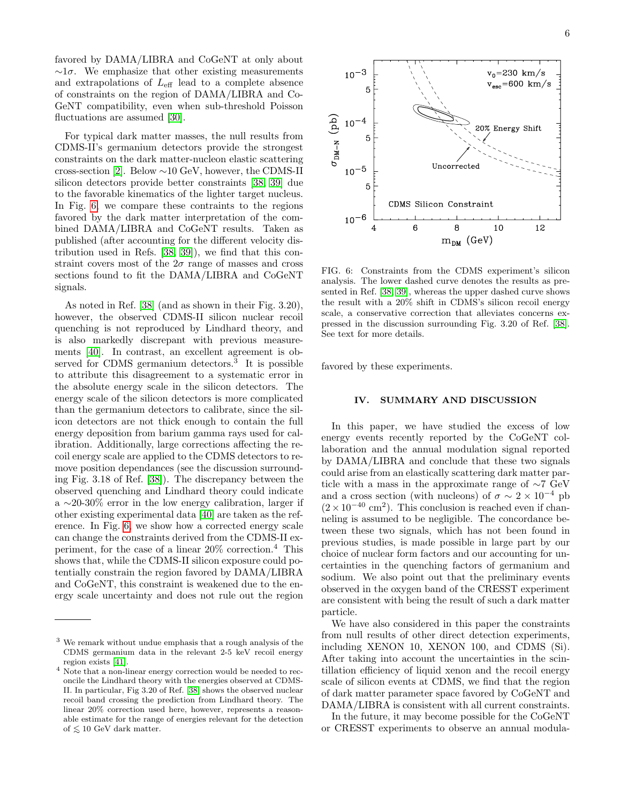favored by DAMA/LIBRA and CoGeNT at only about  $\sim 1\sigma$ . We emphasize that other existing measurements and extrapolations of  $L_{\text{eff}}$  lead to a complete absence of constraints on the region of DAMA/LIBRA and Co-GeNT compatibility, even when sub-threshold Poisson fluctuations are assumed [\[30\]](#page-6-27).

For typical dark matter masses, the null results from CDMS-II's germanium detectors provide the strongest constraints on the dark matter-nucleon elastic scattering cross-section [\[2\]](#page-6-1). Below ∼10 GeV, however, the CDMS-II silicon detectors provide better constraints [\[38,](#page-7-4) [39\]](#page-7-5) due to the favorable kinematics of the lighter target nucleus. In Fig. [6,](#page-5-1) we compare these contraints to the regions favored by the dark matter interpretation of the combined DAMA/LIBRA and CoGeNT results. Taken as published (after accounting for the different velocity distribution used in Refs. [\[38,](#page-7-4) [39\]](#page-7-5)), we find that this constraint covers most of the  $2\sigma$  range of masses and cross sections found to fit the DAMA/LIBRA and CoGeNT signals.

As noted in Ref. [\[38\]](#page-7-4) (and as shown in their Fig. 3.20), however, the observed CDMS-II silicon nuclear recoil quenching is not reproduced by Lindhard theory, and is also markedly discrepant with previous measurements [\[40\]](#page-7-6). In contrast, an excellent agreement is observed for CDMS germanium detectors.<sup>3</sup> It is possible to attribute this disagreement to a systematic error in the absolute energy scale in the silicon detectors. The energy scale of the silicon detectors is more complicated than the germanium detectors to calibrate, since the silicon detectors are not thick enough to contain the full energy deposition from barium gamma rays used for calibration. Additionally, large corrections affecting the recoil energy scale are applied to the CDMS detectors to remove position dependances (see the discussion surrounding Fig. 3.18 of Ref. [\[38\]](#page-7-4)). The discrepancy between the observed quenching and Lindhard theory could indicate a ∼20-30% error in the low energy calibration, larger if other existing experimental data [\[40\]](#page-7-6) are taken as the reference. In Fig. [6,](#page-5-1) we show how a corrected energy scale can change the constraints derived from the CDMS-II experiment, for the case of a linear 20% correction.<sup>4</sup> This shows that, while the CDMS-II silicon exposure could potentially constrain the region favored by DAMA/LIBRA and CoGeNT, this constraint is weakened due to the energy scale uncertainty and does not rule out the region



<span id="page-5-1"></span>FIG. 6: Constraints from the CDMS experiment's silicon analysis. The lower dashed curve denotes the results as presented in Ref. [\[38,](#page-7-4) [39\]](#page-7-5), whereas the upper dashed curve shows the result with a 20% shift in CDMS's silicon recoil energy scale, a conservative correction that alleviates concerns expressed in the discussion surrounding Fig. 3.20 of Ref. [\[38\]](#page-7-4). See text for more details.

favored by these experiments.

### <span id="page-5-0"></span>IV. SUMMARY AND DISCUSSION

In this paper, we have studied the excess of low energy events recently reported by the CoGeNT collaboration and the annual modulation signal reported by DAMA/LIBRA and conclude that these two signals could arise from an elastically scattering dark matter particle with a mass in the approximate range of ∼7 GeV and a cross section (with nucleons) of  $\sigma \sim 2 \times 10^{-4}$  pb  $(2 \times 10^{-40} \text{ cm}^2)$ . This conclusion is reached even if channeling is assumed to be negligible. The concordance between these two signals, which has not been found in previous studies, is made possible in large part by our choice of nuclear form factors and our accounting for uncertainties in the quenching factors of germanium and sodium. We also point out that the preliminary events observed in the oxygen band of the CRESST experiment are consistent with being the result of such a dark matter particle.

We have also considered in this paper the constraints from null results of other direct detection experiments, including XENON 10, XENON 100, and CDMS (Si). After taking into account the uncertainties in the scintillation efficiency of liquid xenon and the recoil energy scale of silicon events at CDMS, we find that the region of dark matter parameter space favored by CoGeNT and DAMA/LIBRA is consistent with all current constraints.

In the future, it may become possible for the CoGeNT or CRESST experiments to observe an annual modula-

<sup>3</sup> We remark without undue emphasis that a rough analysis of the CDMS germanium data in the relevant 2-5 keV recoil energy region exists [\[41\]](#page-7-7).

<sup>4</sup> Note that a non-linear energy correction would be needed to reconcile the Lindhard theory with the energies observed at CDMS-II. In particular, Fig 3.20 of Ref. [\[38\]](#page-7-4) shows the observed nuclear recoil band crossing the prediction from Lindhard theory. The linear 20% correction used here, however, represents a reasonable estimate for the range of energies relevant for the detection of  $≤ 10$  GeV dark matter.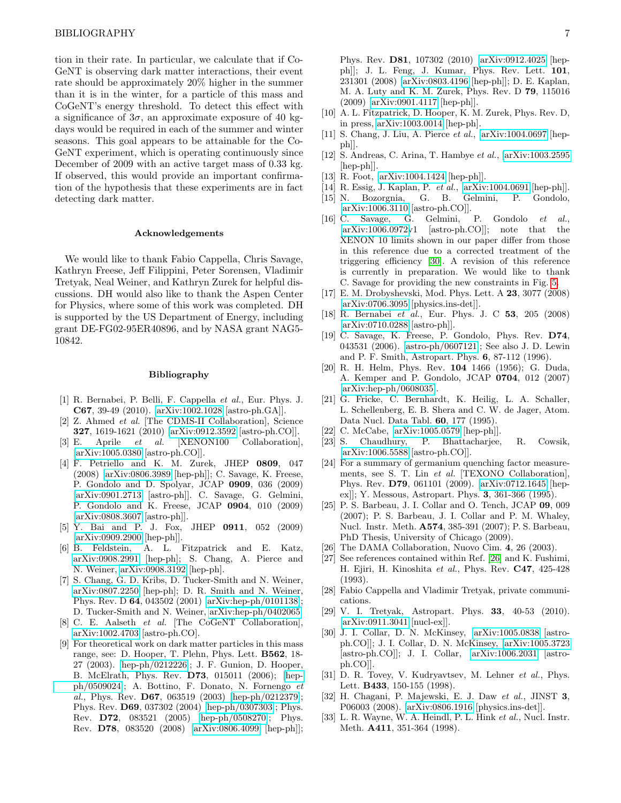tion in their rate. In particular, we calculate that if Co-GeNT is observing dark matter interactions, their event rate should be approximately 20% higher in the summer than it is in the winter, for a particle of this mass and CoGeNT's energy threshold. To detect this effect with a significance of  $3\sigma$ , an approximate exposure of 40 kgdays would be required in each of the summer and winter seasons. This goal appears to be attainable for the Co-GeNT experiment, which is operating continuously since December of 2009 with an active target mass of 0.33 kg. If observed, this would provide an important confirmation of the hypothesis that these experiments are in fact detecting dark matter.

### Acknowledgements

We would like to thank Fabio Cappella, Chris Savage, Kathryn Freese, Jeff Filippini, Peter Sorensen, Vladimir Tretyak, Neal Weiner, and Kathryn Zurek for helpful discussions. DH would also like to thank the Aspen Center for Physics, where some of this work was completed. DH is supported by the US Department of Energy, including grant DE-FG02-95ER40896, and by NASA grant NAG5- 10842.

### Bibliography

- <span id="page-6-0"></span>[1] R. Bernabei, P. Belli, F. Cappella et al., Eur. Phys. J. C67, 39-49 (2010). [\[arXiv:1002.1028](http://arxiv.org/abs/1002.1028) [astro-ph.GA]].
- <span id="page-6-1"></span>[2] Z. Ahmed et al. [The CDMS-II Collaboration], Science 327, 1619-1621 (2010) [\[arXiv:0912.3592](http://arxiv.org/abs/0912.3592) [astro-ph.CO]].
- <span id="page-6-2"></span>[3] E. Aprile et al. [XENON100 Collaboration], [\[arXiv:1005.0380](http://arxiv.org/abs/1005.0380) [astro-ph.CO]].
- <span id="page-6-3"></span>[4] F. Petriello and K. M. Zurek, JHEP 0809, 047 (2008) [\[arXiv:0806.3989](http://arxiv.org/abs/0806.3989) [hep-ph]]; C. Savage, K. Freese, P. Gondolo and D. Spolyar, JCAP 0909, 036 (2009) [\[arXiv:0901.2713](http://arxiv.org/abs/0901.2713) [astro-ph]]. C. Savage, G. Gelmini, P. Gondolo and K. Freese, JCAP 0904, 010 (2009) [\[arXiv:0808.3607](http://arxiv.org/abs/0808.3607) [astro-ph]].
- <span id="page-6-6"></span>[5] Y. Bai and P. J. Fox, JHEP 0911, 052 (2009) [\[arXiv:0909.2900](http://arxiv.org/abs/0909.2900) [hep-ph]].
- <span id="page-6-7"></span>[6] B. Feldstein, A. L. Fitzpatrick and E. Katz, [arXiv:0908.2991](http://arxiv.org/abs/0908.2991) [hep-ph]; S. Chang, A. Pierce and N. Weiner, [arXiv:0908.3192](http://arxiv.org/abs/0908.3192) [hep-ph].
- <span id="page-6-8"></span>[7] S. Chang, G. D. Kribs, D. Tucker-Smith and N. Weiner, [arXiv:0807.2250](http://arxiv.org/abs/0807.2250) [hep-ph]; D. R. Smith and N. Weiner, Phys. Rev. D 64, 043502 (2001) [\[arXiv:hep-ph/0101138\]](http://arxiv.org/abs/hep-ph/0101138); D. Tucker-Smith and N. Weiner, [arXiv:hep-ph/0402065.](http://arxiv.org/abs/hep-ph/0402065)
- <span id="page-6-4"></span>[8] C. E. Aalseth et al. [The CoGeNT Collaboration], [arXiv:1002.4703](http://arxiv.org/abs/1002.4703) [astro-ph.CO].
- <span id="page-6-5"></span>[9] For theoretical work on dark matter particles in this mass range, see: D. Hooper, T. Plehn, Phys. Lett. B562, 18- 27 (2003). [\[hep-ph/0212226\]](http://arxiv.org/abs/hep-ph/0212226); J. F. Gunion, D. Hooper, B. McElrath, Phys. Rev. D73, 015011 (2006); [\[hep](http://arxiv.org/abs/hep-ph/0509024)[ph/0509024\]](http://arxiv.org/abs/hep-ph/0509024); A. Bottino, F. Donato, N. Fornengo et al., Phys. Rev. D67, 063519 (2003) [\[hep-ph/0212379\]](http://arxiv.org/abs/hep-ph/0212379); Phys. Rev. D69, 037302 (2004) [\[hep-ph/0307303\]](http://arxiv.org/abs/hep-ph/0307303); Phys. Rev. D72, 083521 (2005) [\[hep-ph/0508270\]](http://arxiv.org/abs/hep-ph/0508270); Phys. Rev. D78, 083520 (2008) [\[arXiv:0806.4099](http://arxiv.org/abs/0806.4099) [hep-ph]];

Phys. Rev. D81, 107302 (2010) [\[arXiv:0912.4025](http://arxiv.org/abs/0912.4025) [hepph]]; J. L. Feng, J. Kumar, Phys. Rev. Lett. 101, 231301 (2008) [\[arXiv:0803.4196](http://arxiv.org/abs/0803.4196) [hep-ph]]; D. E. Kaplan, M. A. Luty and K. M. Zurek, Phys. Rev. D 79, 115016 (2009) [\[arXiv:0901.4117](http://arxiv.org/abs/0901.4117) [hep-ph]].

- <span id="page-6-9"></span>[10] A. L. Fitzpatrick, D. Hooper, K. M. Zurek, Phys. Rev. D, in press, [arXiv:1003.0014](http://arxiv.org/abs/1003.0014) [hep-ph].
- <span id="page-6-12"></span>[11] S. Chang, J. Liu, A. Pierce et al., [\[arXiv:1004.0697](http://arxiv.org/abs/1004.0697) [hepph]].
- [12] S. Andreas, C. Arina, T. Hambye et al., [\[arXiv:1003.2595](http://arxiv.org/abs/1003.2595) [hep-ph]].
- [13] R. Foot, [\[arXiv:1004.1424](http://arxiv.org/abs/1004.1424) [hep-ph]].
- <span id="page-6-10"></span>[14] R. Essig, J. Kaplan, P. *et al.*, [\[arXiv:1004.0691](http://arxiv.org/abs/1004.0691) [hep-ph]].
- <span id="page-6-11"></span>[15] N. Bozorgnia, G. B. Gelmini, P. Gondolo, [\[arXiv:1006.3110](http://arxiv.org/abs/1006.3110) [astro-ph.CO]].
- <span id="page-6-13"></span>[16] C. Savage, G. Gelmini, P. Gondolo et al., [\[arXiv:1006.0972v](http://arxiv.org/abs/1006.0972)1 [astro-ph.CO]]; note that the XENON 10 limits shown in our paper differ from those in this reference due to a corrected treatment of the triggering efficiency [\[30\]](#page-6-27). A revision of this reference is currently in preparation. We would like to thank C. Savage for providing the new constraints in Fig. [5.](#page-4-1)
- <span id="page-6-14"></span>[17] E. M. Drobyshevski, Mod. Phys. Lett. A 23, 3077 (2008) [\[arXiv:0706.3095](http://arxiv.org/abs/0706.3095) [physics.ins-det]].
- <span id="page-6-15"></span>[18] R. Bernabei et al., Eur. Phys. J. C 53, 205 (2008) [\[arXiv:0710.0288](http://arxiv.org/abs/0710.0288) [astro-ph]].
- <span id="page-6-16"></span>[19] C. Savage, K. Freese, P. Gondolo, Phys. Rev. D74, 043531 (2006). [\[astro-ph/0607121\]](http://arxiv.org/abs/astro-ph/0607121); See also J. D. Lewin and P. F. Smith, Astropart. Phys. 6, 87-112 (1996).
- <span id="page-6-17"></span>[20] R. H. Helm, Phys. Rev. 104 1466 (1956); G. Duda, A. Kemper and P. Gondolo, JCAP 0704, 012 (2007) [\[arXiv:hep-ph/0608035\]](http://arxiv.org/abs/hep-ph/0608035).
- <span id="page-6-18"></span>[21] G. Fricke, C. Bernhardt, K. Heilig, L. A. Schaller, L. Schellenberg, E. B. Shera and C. W. de Jager, Atom. Data Nucl. Data Tabl. 60, 177 (1995).
- <span id="page-6-19"></span>[22] C. McCabe, [\[arXiv:1005.0579](http://arxiv.org/abs/1005.0579) [hep-ph]].
- <span id="page-6-20"></span>[23] S. Chaudhury, P. Bhattacharjee, R. Cowsik, [\[arXiv:1006.5588](http://arxiv.org/abs/1006.5588) [astro-ph.CO]].
- <span id="page-6-21"></span>[24] For a summary of germanium quenching factor measurements, see S. T. Lin et al. [TEXONO Collaboration], Phys. Rev. D79, 061101 (2009). [\[arXiv:0712.1645](http://arxiv.org/abs/0712.1645) [hepex]]; Y. Messous, Astropart. Phys. 3, 361-366 (1995).
- <span id="page-6-22"></span>[25] P. S. Barbeau, J. I. Collar and O. Tench, JCAP 09, 009 (2007); P. S. Barbeau, J. I. Collar and P. M. Whaley, Nucl. Instr. Meth. A574, 385-391 (2007); P. S. Barbeau, PhD Thesis, University of Chicago (2009).
- <span id="page-6-23"></span>[26] The DAMA Collaboration, Nuovo Cim. 4, 26 (2003).
- <span id="page-6-24"></span>[27] See references contained within Ref. [\[26\]](#page-6-23) and K. Fushimi, H. Ejiri, H. Kinoshita et al., Phys. Rev. C47, 425-428 (1993).
- <span id="page-6-25"></span>[28] Fabio Cappella and Vladimir Tretyak, private communications.
- <span id="page-6-26"></span>[29] V. I. Tretyak, Astropart. Phys. 33, 40-53 (2010). [\[arXiv:0911.3041](http://arxiv.org/abs/0911.3041) [nucl-ex]].
- <span id="page-6-27"></span>[30] J. I. Collar, D. N. McKinsey, [\[arXiv:1005.0838](http://arxiv.org/abs/1005.0838) [astroph.CO]]; J. I. Collar, D. N. McKinsey, [\[arXiv:1005.3723](http://arxiv.org/abs/1005.3723) [astro-ph.CO]]; J. I. Collar, [\[arXiv:1006.2031](http://arxiv.org/abs/1006.2031) [astroph.CO]].
- <span id="page-6-28"></span>[31] D. R. Tovey, V. Kudryavtsev, M. Lehner et al., Phys. Lett. B433, 150-155 (1998).
- <span id="page-6-29"></span>[32] H. Chagani, P. Majewski, E. J. Daw et al., JINST 3, P06003 (2008). [\[arXiv:0806.1916](http://arxiv.org/abs/0806.1916) [physics.ins-det]].
- <span id="page-6-30"></span>[33] L. R. Wayne, W. A. Heindl, P. L. Hink et al., Nucl. Instr. Meth. A411, 351-364 (1998).